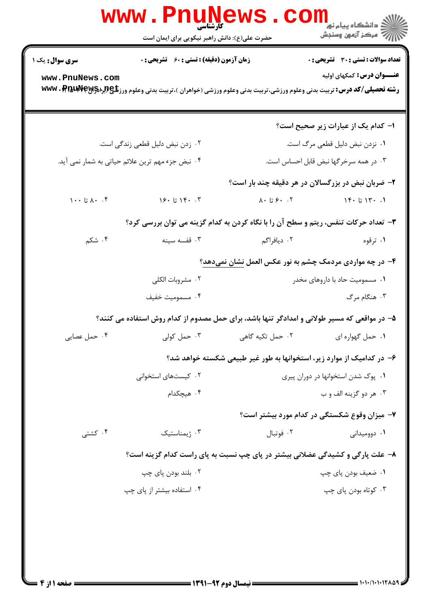|                                                  | <b>www.Pnunews</b><br><b>کارشناسی</b><br>حضرت علی(ع): دانش راهبر نیکویی برای ایمان است                                                  |                                     | الله دانشگاه پیام نور<br>۱۳۸۰ -<br>۱۳۸۰ - مرکز آزمون وسنجش                                                                                                                                                                                                                                                                                                                                    |  |
|--------------------------------------------------|-----------------------------------------------------------------------------------------------------------------------------------------|-------------------------------------|-----------------------------------------------------------------------------------------------------------------------------------------------------------------------------------------------------------------------------------------------------------------------------------------------------------------------------------------------------------------------------------------------|--|
| <b>سری سوال :</b> یک ۱                           | زمان آزمون (دقیقه) : تستی : 60 ٪ تشریحی : 0                                                                                             |                                     | <b>تعداد سوالات : تستی : 30 ٪ تشریحی : 0</b>                                                                                                                                                                                                                                                                                                                                                  |  |
| www.PnuNews.com                                  | <b>رشته تحصیلی/کد درس:</b> تربیت بدنی وعلوم ورزشی،تربیت بدنی وعلوم ورزشی (خواهران )،تربیت بدنی وعلوم ورز <b>شگی (لِبا%ww ، Pp ، www</b> |                                     | <b>عنـــوان درس:</b> کمکهای اولیه                                                                                                                                                                                                                                                                                                                                                             |  |
|                                                  |                                                                                                                                         |                                     | ا– کدام یک از عبارات زیر صحیح است؟                                                                                                                                                                                                                                                                                                                                                            |  |
| ۰۲ زدن نبض دلیل قطعی زندگی است.                  |                                                                                                                                         |                                     | ۰۱ نزدن نبض دلیل قطعی مرگ است.                                                                                                                                                                                                                                                                                                                                                                |  |
| ۰۴ نبض جزء مهم ترین علائم حیاتی به شمار نمی آید. |                                                                                                                                         |                                     | ۰۳ در همه سرخرگها نبض قابل احساس است.                                                                                                                                                                                                                                                                                                                                                         |  |
|                                                  |                                                                                                                                         |                                     | ۲- ضربان نبض در بزرگسالان در هر دقیقه چند بار است؟                                                                                                                                                                                                                                                                                                                                            |  |
| $\cdots$ تا ۱۰۰ $\wedge$                         | ۰۴ ۱۴۰ تا ۱۶۰                                                                                                                           |                                     | $\lambda$ • $\lambda$ • $\lambda$ • $\lambda$ • $\lambda$ • $\lambda$ • $\lambda$ • $\lambda$ • $\lambda$ • $\lambda$ • $\lambda$ • $\lambda$ • $\lambda$ • $\lambda$ • $\lambda$ • $\lambda$ • $\lambda$ • $\lambda$ • $\lambda$ • $\lambda$ • $\lambda$ • $\lambda$ • $\lambda$ • $\lambda$ • $\lambda$ • $\lambda$ • $\lambda$ • $\lambda$ • $\lambda$ • $\lambda$ • $\lambda$ • $\lambda$ |  |
|                                                  | ۳- تعداد حرکات تنفس، ریتم و سطح آن را با نگاه کردن به کدام گزینه می توان بررسی کرد؟                                                     |                                     |                                                                                                                                                                                                                                                                                                                                                                                               |  |
| ۰۴ شکم                                           | ۰۳ قفسه سينه                                                                                                                            | ۰۲ دیافراگم                         | ۰۱ ترقوه                                                                                                                                                                                                                                                                                                                                                                                      |  |
|                                                  |                                                                                                                                         |                                     | ۴- در چه مواردی مردمک چشم به نور عکس العمل <u>نشان</u> نمیدهد؟                                                                                                                                                                                                                                                                                                                                |  |
|                                                  | ۰۲ مشروبات الكلى                                                                                                                        |                                     | ۰۱ مسمومیت حاد با داروهای مخدر                                                                                                                                                                                                                                                                                                                                                                |  |
|                                                  | ۰۴ مسموميت خفيف                                                                                                                         |                                     | ۰۳ هنگام مرگ                                                                                                                                                                                                                                                                                                                                                                                  |  |
|                                                  | ۵– در مواقعی که مسیر طولانی و امدادگر تنها باشد، برای حمل مصدوم از کدام روش استفاده می کنند؟                                            |                                     |                                                                                                                                                                                                                                                                                                                                                                                               |  |
| ۰۴ حمل عصایی                                     |                                                                                                                                         |                                     |                                                                                                                                                                                                                                                                                                                                                                                               |  |
|                                                  | ۶– در کدامیک از موارد زیر، استخوانها به طور غیر طبیعی شکسته خواهد شد؟                                                                   |                                     |                                                                                                                                                                                                                                                                                                                                                                                               |  |
|                                                  | ۰۲ کیستهای استخوانی                                                                                                                     | ٠١. پوک شدن استخوانها در دوران پيري |                                                                                                                                                                                                                                                                                                                                                                                               |  |
|                                                  | ۰۴ هیچکدام                                                                                                                              |                                     | ۰۳ هر دو گزينه الف و ب                                                                                                                                                                                                                                                                                                                                                                        |  |
|                                                  |                                                                                                                                         |                                     | ۷- میزان وقوع شکستگی در کدام مورد بیشتر است؟                                                                                                                                                                                                                                                                                                                                                  |  |
| ۰۴ کشتی                                          | ۰۳ ژیمناستیک                                                                                                                            | ۰۲ فوتبال                           | ۰۱ دوومیدانی                                                                                                                                                                                                                                                                                                                                                                                  |  |
|                                                  | ۸– علت پارگی و کشیدگی عضلانی بیشتر در پای چپ نسبت به پای راست کدام گزینه است؟                                                           |                                     |                                                                                                                                                                                                                                                                                                                                                                                               |  |
|                                                  | ۰۲ بلند بودن پای چپ                                                                                                                     |                                     | ۰۱ ضعیف بودن پای چپ                                                                                                                                                                                                                                                                                                                                                                           |  |
|                                                  | ۰۴ استفاده بیشتر از یای چپ                                                                                                              |                                     | ۰۳ کوتاه بودن پای چپ                                                                                                                                                                                                                                                                                                                                                                          |  |
|                                                  |                                                                                                                                         |                                     |                                                                                                                                                                                                                                                                                                                                                                                               |  |
|                                                  |                                                                                                                                         |                                     |                                                                                                                                                                                                                                                                                                                                                                                               |  |
|                                                  |                                                                                                                                         |                                     |                                                                                                                                                                                                                                                                                                                                                                                               |  |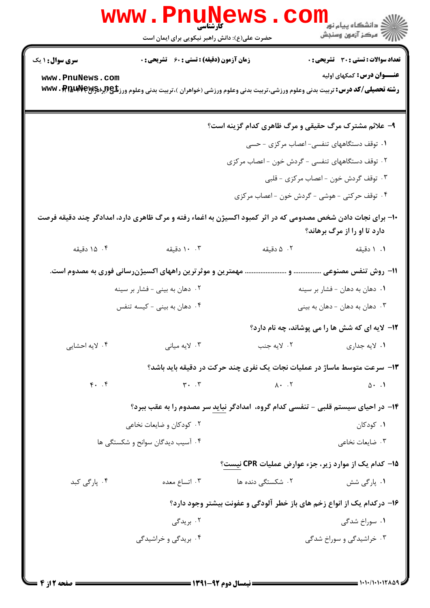|                                                                                                                                             | حضرت علی(ع): دانش راهبر نیکویی برای ایمان است             |                                   | ≦ دانشگاه پیام نو <mark>ر</mark><br>// مرکز آزمون وسنجش                                                                                                                         |  |
|---------------------------------------------------------------------------------------------------------------------------------------------|-----------------------------------------------------------|-----------------------------------|---------------------------------------------------------------------------------------------------------------------------------------------------------------------------------|--|
| <b>سری سوال : ۱ یک</b>                                                                                                                      | <b>زمان آزمون (دقیقه) : تستی : 60 ٪ تشریحی : 0</b>        |                                   | تعداد سوالات : تستي : 30 ٪ تشريحي : 0                                                                                                                                           |  |
| www.PnuNews.com                                                                                                                             |                                                           |                                   | <b>عنـــوان درس:</b> کمکهای اولیه<br><b>رشته تحصیلی/کد درس:</b> تربیت بدنی وعلوم ورزشی،تربیت بدنی وعلوم ورزشی (خواهران )،تربیت بدنی وعلوم ورز <b>شگی (لِبراه WWW . PfauNeyy</b> |  |
|                                                                                                                                             |                                                           |                                   | ۹- علائم مشترک مرگ حقیقی و مرگ ظاهری کدام گزینه است؟                                                                                                                            |  |
|                                                                                                                                             |                                                           |                                   | ۰۱ توقف دستگاههای تنفسی- اعصاب مرکزی - حسی                                                                                                                                      |  |
|                                                                                                                                             |                                                           |                                   | ۲. توقف دستگاههای تنفسی - گردش خون - اعصاب مرکزی                                                                                                                                |  |
| ۰۳ توقف گردش خون - اعصاب مرکزی - قلبی                                                                                                       |                                                           |                                   |                                                                                                                                                                                 |  |
|                                                                                                                                             |                                                           |                                   | ۰۴ توقف حرکتی - هوشی - گردش خون - اعصاب مرکزی                                                                                                                                   |  |
| +۱- برای نجات دادن شخص مصدومی که در اثر کمبود اکسیژن به اغماء رفته و مرگ ظاهری دارد، امدادگر چند دقیقه فرصت<br>دارد تا او را از مرگ برهاند؟ |                                                           |                                   |                                                                                                                                                                                 |  |
| ۰۴ دقیقه                                                                                                                                    | ۰۰ ۱۰ دقیقه                                               | ۰۲ ۵ دقیقه                        | ۰۱ ۱ دقیقه                                                                                                                                                                      |  |
|                                                                                                                                             | مهمترین و موثر ترین راههای اکسیژنرسانی فوری به مصدوم است. |                                   |                                                                                                                                                                                 |  |
| ۰۲ دهان به بینی - فشار بر سینه                                                                                                              |                                                           |                                   | ۰۱ دهان به دهان - فشار بر سینه                                                                                                                                                  |  |
| ۰۴ دهان به بینی - کیسه تنفس                                                                                                                 |                                                           |                                   | ۰۳ دهان به دهان – دهان به بینی                                                                                                                                                  |  |
|                                                                                                                                             |                                                           |                                   | <b>۱۲</b> - لایه ای که شش ها را می پوشاند، چه نام دارد؟                                                                                                                         |  |
| ۰۴ لایه احشایی                                                                                                                              | ۰۳ لایه میانی                                             | ۰۲ لايه جنب                       | ۰۱ لايه جداري                                                                                                                                                                   |  |
|                                                                                                                                             |                                                           |                                   | ۱۳- سرعت متوسط ماساژ در عملیات نجات یک نفری چند حرکت در دقیقه باید باشد؟                                                                                                        |  |
| $f.$ . $f$                                                                                                                                  | $Y - T$                                                   | $\lambda \cdot \cdot \cdot \cdot$ | $0 \cdot \cdot \cdot$                                                                                                                                                           |  |
|                                                                                                                                             |                                                           |                                   | ۱۴- در احیای سیستم قلبی - تنفسی کدام گروه، امدادگر نباید سر مصدوم را به عقب ببرد؟                                                                                               |  |
|                                                                                                                                             | ۰۲ کودکان و ضایعات نخاعی                                  |                                   | ۰۱ کودکان                                                                                                                                                                       |  |
|                                                                                                                                             | ۰۴ آسیب دیدگان سوانح و شکستگی ها                          | ۰۳ ضایعات نخاعی                   |                                                                                                                                                                                 |  |
|                                                                                                                                             |                                                           |                                   | ۱۵− کدام یک از موارد زیر، جزء عوارض عملیات CPR نیست؟                                                                                                                            |  |
| ۰۴ پارگی کبد                                                                                                                                | ۰۳ اتساع معده                                             | ۰۲ شکست <i>گی</i> دنده ها         | ۰۱ پارگی شش                                                                                                                                                                     |  |
| ۱۶– درکدام یک از انواع زخم های باز خطر آلودگی و عفونت بیشتر وجود دارد؟                                                                      |                                                           |                                   |                                                                                                                                                                                 |  |
|                                                                                                                                             | ۰۲ بریدگی                                                 |                                   | ۰۱ سوراخ شدگی                                                                                                                                                                   |  |
|                                                                                                                                             | ۰۴ بریدگی و خراشیدگی                                      |                                   | ۰۳ خراشیدگی و سوراخ شدگی                                                                                                                                                        |  |
|                                                                                                                                             |                                                           |                                   |                                                                                                                                                                                 |  |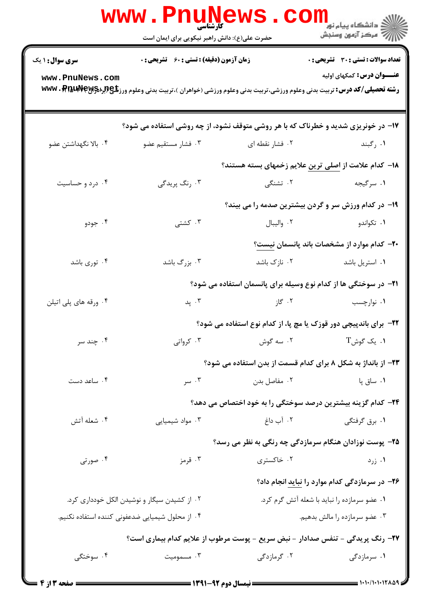|                                              | www.Pn<br>۔<br>کارشناسی<br>حضرت علی(ع): دانش راهبر نیکویی برای ایمان است                                                                   | <b>EWS.</b>                                                             | <mark>ڪ دانشڪاه پيام نور −</mark><br>  <i>  &gt;</i> مرکز آزمون وسنڊش |
|----------------------------------------------|--------------------------------------------------------------------------------------------------------------------------------------------|-------------------------------------------------------------------------|-----------------------------------------------------------------------|
| سری سوال: ۱ یک                               | <b>زمان آزمون (دقیقه) : تستی : 60 ٪ تشریحی : 0</b>                                                                                         |                                                                         | <b>تعداد سوالات : تستي : 30 ٪ تشريحي : 0</b>                          |
| www.PnuNews.com                              | <b>رشته تحصیلی/کد درس:</b> تربیت بدنی وعلوم ورزشی،تربیت بدنی وعلوم ورزشی (خواهران )،تربیت بدنی وعلوم ورز <b>تلچ(براد www . PfaudVeyg</b> 5 |                                                                         | <b>عنـــوان درس:</b> کمکهای اولیه                                     |
|                                              | ۱۷- در خونریزی شدید و خطرناک که با هر روشی متوقف نشود، از چه روشی استفاده می شود؟                                                          |                                                                         |                                                                       |
| ۰۴ بالا نگهداشتن عضو                         | ۰۳ فشار مستقيم عضو                                                                                                                         | ۰۲ فشار نقطه ای                                                         | ۰۱ رگبند است.                                                         |
|                                              |                                                                                                                                            | ۱۸– کدام علامت از اصلی ترین علایم زخمهای بسته هستند؟                    |                                                                       |
| ۰۴ درد و حساسیت                              | ۰۳ رنگ پريدگي                                                                                                                              | ۰۲ تشنگی                                                                | ۰۱ سرگیجه                                                             |
|                                              |                                                                                                                                            | ۱۹- در کدام ورزش سر و گردن بیشترین صدمه را می بیند؟                     |                                                                       |
| ۰۴ جودو                                      | ۰۳ کشتی                                                                                                                                    |                                                                         | ٠١ تكواندو هي اليبال . ٢                                              |
|                                              |                                                                                                                                            |                                                                         | <b>۲۰</b> - کدام موارد از مشخصات باند پانسمان نیست؟                   |
| ۰۴ توری باشد                                 | ۰۳ بزرگ باشد                                                                                                                               | ۰۲ نازک باشد                                                            | ۰۱ استریل باشد                                                        |
|                                              |                                                                                                                                            | <b>۲۱</b> - در سوختگی ها از کدام نوع وسیله برای پانسمان استفاده می شود؟ |                                                                       |
| ۰۴ ورقه های پلی اتیلن                        | ۰۳ پد                                                                                                                                      | ۰۲ گاز                                                                  | ۰۱ نوارچسب                                                            |
|                                              |                                                                                                                                            | ۲۲- برای باندپیچی دور قوزک یا مچ پا، از کدام نوع استفاده می شود؟        |                                                                       |
| ۰۴ چند سر                                    | ۰۳ کرواتی                                                                                                                                  | ۰۲ سه گوش                                                               | $T$ . یک گوش $\cdot$                                                  |
|                                              |                                                                                                                                            | <b>۲۳</b> - از بانداژ به شکل ۸ برای کدام قسمت از بدن استفاده می شود؟    |                                                                       |
| ۰۴ ساعد دست                                  | ۰۳ سر                                                                                                                                      | ۰۲ مفاصل بدن                                                            | ۰۱ ساق پا                                                             |
|                                              |                                                                                                                                            | ۲۴– کدام گزینه بیشترین درصد سوختگی را به خود اختصاص می دهد؟             |                                                                       |
| ۰۴ شعله آتش                                  | ۰۳ مواد شیمیایی                                                                                                                            | ۲. آب داغ                                                               | ۰۱ برق گرفتگی                                                         |
|                                              |                                                                                                                                            | ۲۵- پوست نوزادان هنگام سرمازدگی چه رنگی به نظر می رسد؟                  |                                                                       |
| ۰۴ صورتی                                     | ۰۳ قرمز                                                                                                                                    | ۰۲ خاکستری                                                              | ۰۱ زرد                                                                |
|                                              |                                                                                                                                            |                                                                         | <b>۲۶-</b> در سرمازدگی کدام موارد را نباید انجام داد؟                 |
| ۰۲ از کشیدن سیگار و نوشیدن الکل خودداری کرد. |                                                                                                                                            |                                                                         | ۰۱ عضو سرمازده را نباید با شعله آتش گرم کرد.                          |
|                                              | ۰۴ از محلول شیمیایی ضدعفونی کننده استفاده نکنیم.                                                                                           |                                                                         | ۰۳ عضو سرمازده را مالش بدهیم.                                         |
|                                              | ۲۷- رنگ پریدگی - تنفس صدادار - نبض سریع - پوست مرطوب از علایم کدام بیماری است؟                                                             |                                                                         |                                                                       |
| ۰۴ سوختگ <i>ی</i>                            | ۰۳ مسمومیت                                                                                                                                 | ۰۲ گرمازدگی                                                             | ۰۱ سرمازدگی                                                           |
| <b>= صفحه 3 از 4 =</b>                       |                                                                                                                                            | ــــــــ نیمسال دوم ۹۲-۱۳۹۱ ــــ                                        |                                                                       |